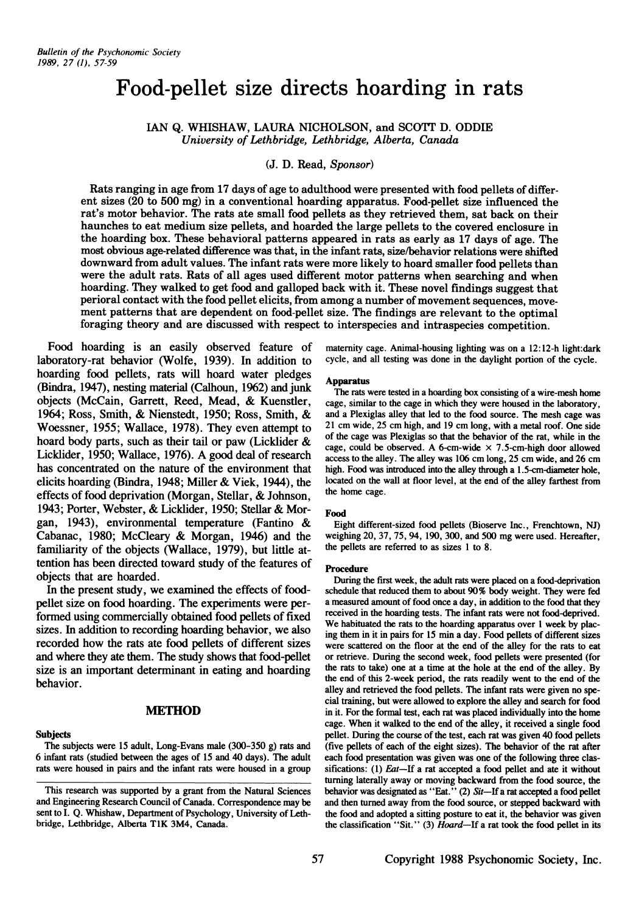# **Food-pellet size directs hoarding in rats**

IAN Q. WHISHAW, LAURA NICHOLSON, and SCOTT D. ODDIE *University of Lethbridge, Lethbridge, Alberta, Canada*

# (J. D. Read, Sponsor)

Rats ranging in age from 17 days of age to adulthood were presented with food pellets of different sizes (20 to 500 mg) in a conventional hoarding apparatus. Food-pellet size influenced the rat's motor behavior. The rats ate small food pellets as they retrieved them, sat back on their haunches to eat medium size pellets, and hoarded the large pellets to the covered enclosure in the hoarding box. These behavioral patterns appeared in rats as early as 17 days of age. The most obvious age-related difference was that, in the infant rats, size/behavior relations were shifted downward from adult values. The infant rats were more likely to hoard smaller food pellets than were the adult rats. Rats of all ages used different motor patterns when searching and when hoarding. They walked to get food and galloped back with it. These novel findings suggest that perioral contact with the food pellet elicits, from among a number of movement sequences, movement patterns that are dependent on food-pellet size. The findings are relevant to the optimal foraging theory and are discussed with respect to interspecies and intraspecies competition.

Food hoarding is an easily observed feature of laboratory-rat behavior (Wolfe, 1939). In addition to hoarding food pellets, rats will hoard water pledges (Bindra, 1947), nesting material (Calhoun, 1962) and junk objects (McCain, Garrett, Reed, Mead, & Kuenstler, 1964; Ross, Smith, & Nienstedt, 1950; Ross, Smith, & Woessner, 1955; Wallace, 1978). They even attempt to hoard body parts, such as their tail or paw (Licklider & Licklider, 1950; Wallace, 1976). A good deal of research has concentrated on the nature of the environment that elicits hoarding (Bindra, 1948; Miller & Viek, 1944), the effects of food deprivation (Morgan, Stellar, & Johnson, 1943; Porter, Webster, & Licklider, 1950; Stellar & Morgan, 1943), environmental temperature (Fantino & Cabanac, 1980; McCleary & Morgan, 1946) and the familiarity of the objects (Wallace, 1979), but little attention has been directed toward study of the features of objects that are hoarded .

In the present study, we examined the effects of foodpellet size on food hoarding. The experiments were performed using commercially obtained food pellets of fixed sizes. In addition to recording hoarding behavior, we also recorded how the rats ate food pellets of different sizes and where they ate them. The study shows that food-pellet size is an important determinant in eating and hoarding behavior.

## **MEmOD**

## **Subjects**

## The subjects were 15 adult, Long-Evans male (300-350 g) rats and 6 infant rats (studied between the ages of 15 and40 days) . The adult rats were housed in pairs and the infant rats were housed in a group

maternity cage. Animal-housing lighting was on a 12:12-h light:dark cycle, and all testing was done in the daylight portion of the cycle.

#### Apparatus

The rats were tested in a hoarding box consisting of a wire-mesh home cage, similar to the cage in which they were housed in the laboratory, and a Plexiglas alley that led to the food source. The mesh cage was 21 cm wide, 25 cm high, and 19 cm long, with a metal roof. One side of the cage was Plexiglas so that the behavior of the rat, while in the cage, could be observed. A 6-cm-wide  $\times$  7.5-cm-high door allowed access to the alley. The alley was 106 cm long, 25 cm wide, and 26 cm high. Food was introduced into the alley through a 1.5-cm-diameter hole, located on the wall at floor level, at the end of the alley farthest from the home cage.

## Food

Eight different-sized food pellets (Bioserve Inc., Frenchtown, Nl) weighing 20, 37, 75, 94, 190, 300, and 500 mg were used. Hereafter, the pellets are referred to as sizes 1 to 8.

#### Procedure

During the first week, the adult rats were placed on a food-deprivation schedule that reduced them to about 90% body weight. They were fed a measured amount of food once a day, in addition to the food that they received in the hoarding tests. The infant rats were not food-deprived. We habituated the rats to the hoarding apparatus over 1 week by placing them in it in pairs for 15 min a day. Food pellets of different sizes were scattered on the floor at the end of the alley for the rats to eat or retrieve. During the second week, food pellets were presented (for the rats to take) one at a time at the hole at the end of the alley . By the end of this 2-week period, the rats readily went to the end of the alley and retrieved the food pellets. The infant rats were given no special training, but were allowed to explore the alley and search for food in it. For the formal test, each rat was placed individually into the home cage. When it walked to the end of the alley, it received a single food pellet. During the course of the test, each rat was given 40 food pellets (five pellets of each of the eight sizes). The behavior of the rat after each food presentation was given was one of the following three classifications: (1) Eat-If a rat accepted a food pellet and ate it without turning laterally away or moving backward from the food source, the behavior was designated as "Eat." (2) Sit-If a rat accepted a food pellet and then turned away from the food source, or stepped backward with the food and adopted a sitting posture to eat it, the behavior was given the classification "Sit." (3) Hoard-If a rat took the food pellet in its

This research was supported by a grant from the Natural Sciences and Engineering Research Council of Canada. Correspondence may be sent to I. Q. Whishaw, Department of Psychology, University of Lethbridge, Lethbridge, Alberta TlK 3M4, Canada.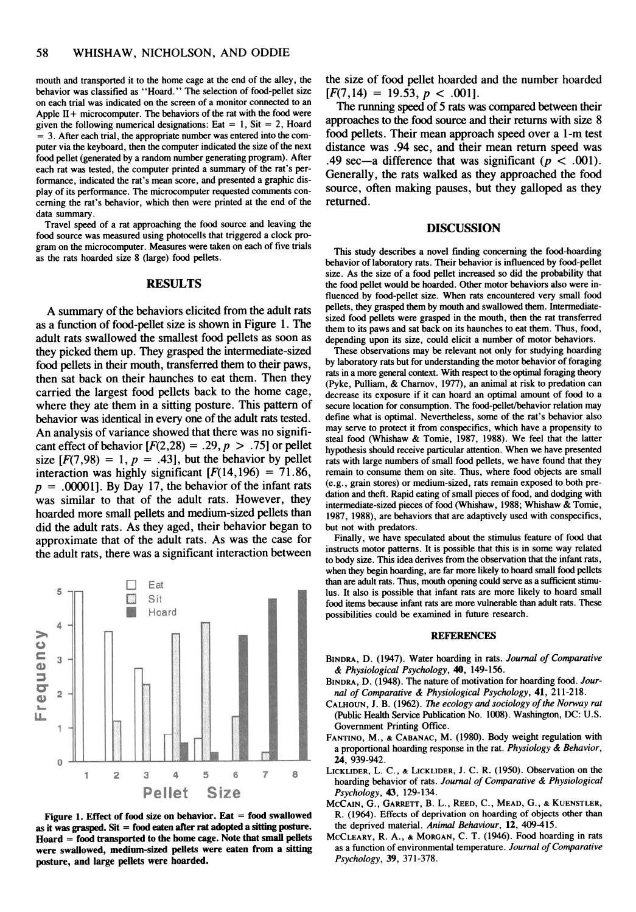mouth and transported it to the home cage at the end of the alley , the behavior was classified as "Hoard." The selection of food-pellet size on each trial was indicated on the screen of a monitor connected to an Apple  $II +$  microcomputer. The behaviors of the rat with the food were given the following numerical designations: Eat = 1, Sit = 2, Hoard = 3. After each trial, the appropriate number was entered into the computer via the keyboard, then the computer indicated the size of the next food pellet (generated by a random number generating program). After each rat was tested, the computer printed a summary of the rat's performance, indicated the rat's mean score, and presented a graphic display of its performance. The microcomputer requested comments concerning the rat's behavior, which then were printed at the end of the data summary.

Travel speed of a rat approaching the food source and leaving the food source was measured using photocells that triggered a clock program on the microcomputer. Measures were taken on each of five trials as the rats hoarded size 8 (large) food pellets.

# **RESULTS**

A summary of the behaviors elicited from the adult rats as a function of food-pellet size is shown in Figure 1. The adult rats swallowed the smallest food pellets as soon as they picked them up. They grasped the intermediate-sized food pellets in their mouth, transferred them to their paws, then sat back on their haunches to eat them. Then they carried the largest food pellets back to the home cage, where they ate them in a sitting posture. This pattern of behavior was identical in every one of the adult rats tested. An analysis of variance showed that there was no significant effect of behavior  $[F(2,28) = .29, p > .75]$  or pellet size  $[F(7, 98) = 1, p = .43]$ , but the behavior by pellet interaction was highly significant  $[F(14,196) = 71.86,$  $p = .00001$ . By Day 17, the behavior of the infant rats was similar to that of the adult rats. However, they hoarded more small pellets and medium-sized pellets than did the adult rats. As they aged, their behavior began to approximate that of the adult rats. As was the case for the adult rats, there was a significant interaction between





the size of food pellet hoarded and the number hoarded  $[F(7, 14) = 19.53, p < .001].$ 

The running speed of 5 rats was compared between their approaches to the food source and their returns with size 8 food pellets. Their mean approach speed over a l-m test distance was .94 sec, and their mean return speed was .49 sec—a difference that was significant ( $p < .001$ ). Generally, the rats walked as they approached the food source, often making pauses, but they galloped as they returned.

## DISCUSSION

This study describes a novel finding concerning the food-hoarding behavior of laboratory rats. Their behavior is influenced by food-pellet size . As the size of a food pellet increased so did the probability that the food pellet would be hoarded. Other motor behaviors also were influenced by food-pellet size. When rats encountered very small food pellets, they grasped them by mouth and swallowed them . Intermediatesized food pellets were grasped in the mouth, then the rat transferred them to its paws and sat back on its haunches to eat them. Thus, food, depending upon its size, could elicit a number of motor behaviors.

These observations may be relevant not only for studying hoarding by laboratory rats but for understanding the motor behavior of foraging rats in a more general context. With respect to the optirnal foraging theory (Pyke, Pulliam, & Chamov, 1977), an animal at risk to predation can decrease its exposure if it can hoard an optimal amount of food to a secure location for consumption. The food-pellet/behavior relation may define what is optimal. Nevertheless, some of the rat's behavior also may serve to protect it from conspecifics, which have a propensity to steal food (Whishaw & Tomie, 1987, 1988) . We feel that the latter hypothesis should receive particular attention . When we have presented rats with large numbers of small food pellets, we have found that they remain to consume them on site. Thus, where food objects are small (e.g ., grain stores) or medium-sized, rats remain exposed to both predation and theft. Rapid eating of small pieces of food, and dodging with intermediate-sized pieces of food (Whishaw, 1988; Whishaw & Tomie, 1987, 1988), are behaviors that are adaptively used with conspecifics, but not with predators.

Finally, we have speculated about the stimulus feature of food that instructs motor patterns. It is possible that this is in some way related to body size . This idea derives from the observation that the infant rats, when they begin hoarding, are far more likely to hoard small food pellets than are adult rats. Thus, mouth opening could serve as a sufficient stimulus. It also is possible that infant rats are more likely to hoard small food items because infant rats are more vulnerable than adult rats. These possibilities could be examined in future research.

#### REFERENCES

- BINDRA, D. (1947). Water hoarding in rats. *Journal of Comparative* & *Physiological Psychology ,* 40, 149-156.
- BINDRA, D. (1948). The nature of motivation for hoarding food. Jour*nal of Comparative* & *Physiological Psychology,* 41, 211 -218 .
- CALHOUN, J. B. (1962) . The *ecology* and*sociology ofthe Norway rat* (Public Health Service Publication No. 1008). Washington, DC: U.S. Government Printing Office.
- FANTINO, M., & CABANAC, M. (1980). Body weight regulation with a proportional hoarding response in the rat . *Physiology* & *Behavior,* 24, 939-942.
- LICKLIDER, L. C., & LICKLIDER, J. C. R. (1950). Observation on the hoarding behavior of rats. Journal of Comparative & Physiological *Psychology,* 43, 129-134 .
- MCCAIN, G., GARRETT, B. L. , REED, C., MEAD, G., & KUENSTLER, R. (1964). Effects of deprivation on hoarding of objects other than the deprived material. *Animal Behoviour,* 12, 409-415.
- MCCLEARY, R. A., & MORGAN, C. T. (1946). Food hoarding in rats as a function of environmental temperature. *Journal of Comparative Psychology,* 39 , 371-378 .